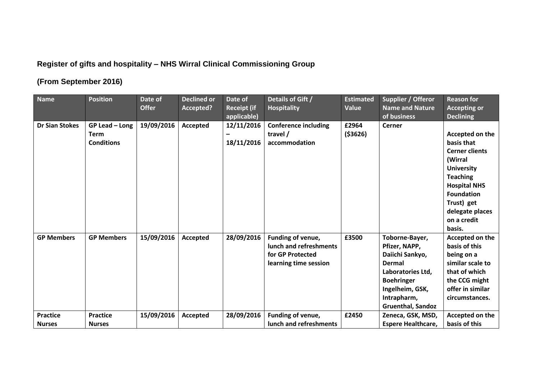## **Register of gifts and hospitality – NHS Wirral Clinical Commissioning Group**

## **(From September 2016)**

| <b>Name</b>           | <b>Position</b>   | Date of      | <b>Declined or</b> | Date of            | Details of Gift /           | <b>Estimated</b> | Supplier / Offeror        | <b>Reason for</b>     |
|-----------------------|-------------------|--------------|--------------------|--------------------|-----------------------------|------------------|---------------------------|-----------------------|
|                       |                   | <b>Offer</b> | Accepted?          | <b>Receipt (if</b> | <b>Hospitality</b>          | Value            | <b>Name and Nature</b>    | <b>Accepting or</b>   |
|                       |                   |              |                    | applicable)        |                             |                  | of business               | <b>Declining</b>      |
| <b>Dr Sian Stokes</b> | GP Lead - Long    | 19/09/2016   | Accepted           | 12/11/2016         | <b>Conference including</b> | £2964            | <b>Cerner</b>             |                       |
|                       | <b>Term</b>       |              |                    |                    | travel /                    | ( \$3626)        |                           | Accepted on the       |
|                       | <b>Conditions</b> |              |                    | 18/11/2016         | accommodation               |                  |                           | basis that            |
|                       |                   |              |                    |                    |                             |                  |                           | <b>Cerner clients</b> |
|                       |                   |              |                    |                    |                             |                  |                           | (Wirral               |
|                       |                   |              |                    |                    |                             |                  |                           | <b>University</b>     |
|                       |                   |              |                    |                    |                             |                  |                           | <b>Teaching</b>       |
|                       |                   |              |                    |                    |                             |                  |                           | <b>Hospital NHS</b>   |
|                       |                   |              |                    |                    |                             |                  |                           | <b>Foundation</b>     |
|                       |                   |              |                    |                    |                             |                  |                           | Trust) get            |
|                       |                   |              |                    |                    |                             |                  |                           | delegate places       |
|                       |                   |              |                    |                    |                             |                  |                           | on a credit           |
|                       |                   |              |                    |                    |                             |                  |                           | basis.                |
| <b>GP Members</b>     | <b>GP Members</b> | 15/09/2016   | Accepted           | 28/09/2016         | Funding of venue,           | £3500            | Toborne-Bayer,            | Accepted on the       |
|                       |                   |              |                    |                    | lunch and refreshments      |                  | Pfizer, NAPP,             | basis of this         |
|                       |                   |              |                    |                    | for GP Protected            |                  | Daiichi Sankyo,           | being on a            |
|                       |                   |              |                    |                    | learning time session       |                  | <b>Dermal</b>             | similar scale to      |
|                       |                   |              |                    |                    |                             |                  | Laboratories Ltd,         | that of which         |
|                       |                   |              |                    |                    |                             |                  | <b>Boehringer</b>         | the CCG might         |
|                       |                   |              |                    |                    |                             |                  | Ingelheim, GSK,           | offer in similar      |
|                       |                   |              |                    |                    |                             |                  | Intrapharm,               | circumstances.        |
|                       |                   |              |                    |                    |                             |                  | <b>Gruenthal, Sandoz</b>  |                       |
| <b>Practice</b>       | <b>Practice</b>   | 15/09/2016   | Accepted           | 28/09/2016         | Funding of venue,           | £2450            | Zeneca, GSK, MSD,         | Accepted on the       |
| <b>Nurses</b>         | <b>Nurses</b>     |              |                    |                    | lunch and refreshments      |                  | <b>Espere Healthcare,</b> | basis of this         |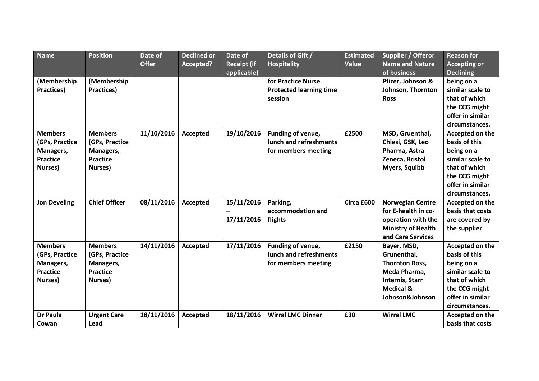| <b>Name</b>         | <b>Position</b>      | Date of      | <b>Declined or</b> | Date of            | Details of Gift /              | <b>Estimated</b> | Supplier / Offeror        | <b>Reason for</b>   |
|---------------------|----------------------|--------------|--------------------|--------------------|--------------------------------|------------------|---------------------------|---------------------|
|                     |                      | <b>Offer</b> | Accepted?          | <b>Receipt (if</b> | <b>Hospitality</b>             | Value            | <b>Name and Nature</b>    | <b>Accepting or</b> |
|                     |                      |              |                    | applicable)        |                                |                  | of business               | <b>Declining</b>    |
| (Membership         | (Membership          |              |                    |                    | for Practice Nurse             |                  | Pfizer, Johnson &         | being on a          |
| Practices)          | Practices)           |              |                    |                    | <b>Protected learning time</b> |                  | Johnson, Thornton         | similar scale to    |
|                     |                      |              |                    |                    | session                        |                  | <b>Ross</b>               | that of which       |
|                     |                      |              |                    |                    |                                |                  |                           | the CCG might       |
|                     |                      |              |                    |                    |                                |                  |                           | offer in similar    |
|                     |                      |              |                    |                    |                                |                  |                           | circumstances.      |
| <b>Members</b>      | <b>Members</b>       | 11/10/2016   | Accepted           | 19/10/2016         | Funding of venue,              | £2500            | MSD, Gruenthal,           | Accepted on the     |
| (GPs, Practice      | (GPs, Practice       |              |                    |                    | lunch and refreshments         |                  | Chiesi, GSK, Leo          | basis of this       |
| Managers,           | Managers,            |              |                    |                    | for members meeting            |                  | Pharma, Astra             | being on a          |
| <b>Practice</b>     | <b>Practice</b>      |              |                    |                    |                                |                  | Zeneca, Bristol           | similar scale to    |
| Nurses)             | Nurses)              |              |                    |                    |                                |                  | <b>Myers, Squibb</b>      | that of which       |
|                     |                      |              |                    |                    |                                |                  |                           | the CCG might       |
|                     |                      |              |                    |                    |                                |                  |                           | offer in similar    |
|                     |                      |              |                    |                    |                                |                  |                           | circumstances.      |
| <b>Jon Develing</b> | <b>Chief Officer</b> | 08/11/2016   | Accepted           | 15/11/2016         | Parking,                       | Circa £600       | <b>Norwegian Centre</b>   | Accepted on the     |
|                     |                      |              |                    |                    | accommodation and              |                  | for E-health in co-       | basis that costs    |
|                     |                      |              |                    | 17/11/2016         | flights                        |                  | operation with the        | are covered by      |
|                     |                      |              |                    |                    |                                |                  | <b>Ministry of Health</b> | the supplier        |
|                     |                      |              |                    |                    |                                |                  | and Care Services         |                     |
| <b>Members</b>      | <b>Members</b>       | 14/11/2016   | Accepted           | 17/11/2016         | Funding of venue,              | £2150            | Bayer, MSD,               | Accepted on the     |
| (GPs, Practice      | (GPs, Practice       |              |                    |                    | lunch and refreshments         |                  | Grunenthal,               | basis of this       |
| Managers,           | Managers,            |              |                    |                    | for members meeting            |                  | <b>Thornton Ross,</b>     | being on a          |
| <b>Practice</b>     | <b>Practice</b>      |              |                    |                    |                                |                  | Meda Pharma,              | similar scale to    |
| Nurses)             | Nurses)              |              |                    |                    |                                |                  | <b>Internis, Starr</b>    | that of which       |
|                     |                      |              |                    |                    |                                |                  | <b>Medical &amp;</b>      | the CCG might       |
|                     |                      |              |                    |                    |                                |                  | Johnson&Johnson           | offer in similar    |
|                     |                      |              |                    |                    |                                |                  |                           | circumstances.      |
| <b>Dr Paula</b>     | <b>Urgent Care</b>   | 18/11/2016   | Accepted           | 18/11/2016         | <b>Wirral LMC Dinner</b>       | £30              | <b>Wirral LMC</b>         | Accepted on the     |
| Cowan               | Lead                 |              |                    |                    |                                |                  |                           | basis that costs    |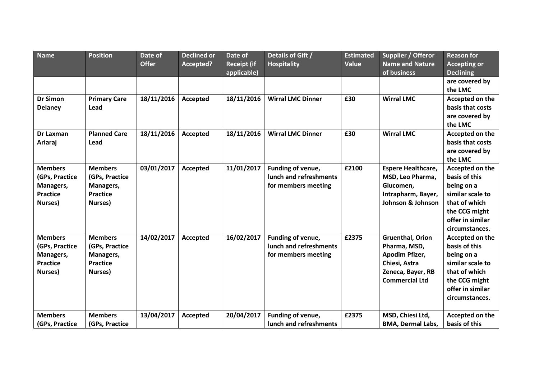| <b>Name</b>                                                                 | <b>Position</b>                                                             | Date of<br><b>Offer</b> | <b>Declined or</b><br>Accepted? | Date of<br><b>Receipt (if</b> | Details of Gift /<br><b>Hospitality</b>                            | <b>Estimated</b><br><b>Value</b> | Supplier / Offeror<br><b>Name and Nature</b>                                                                             | <b>Reason for</b><br><b>Accepting or</b>                                                                                                   |
|-----------------------------------------------------------------------------|-----------------------------------------------------------------------------|-------------------------|---------------------------------|-------------------------------|--------------------------------------------------------------------|----------------------------------|--------------------------------------------------------------------------------------------------------------------------|--------------------------------------------------------------------------------------------------------------------------------------------|
|                                                                             |                                                                             |                         |                                 | applicable)                   |                                                                    |                                  | of business                                                                                                              | <b>Declining</b><br>are covered by<br>the LMC                                                                                              |
| <b>Dr Simon</b><br><b>Delaney</b>                                           | <b>Primary Care</b><br>Lead                                                 | 18/11/2016              | Accepted                        | 18/11/2016                    | <b>Wirral LMC Dinner</b>                                           | £30                              | <b>Wirral LMC</b>                                                                                                        | Accepted on the<br>basis that costs<br>are covered by<br>the LMC                                                                           |
| Dr Laxman<br>Ariaraj                                                        | <b>Planned Care</b><br>Lead                                                 | 18/11/2016              | Accepted                        | 18/11/2016                    | <b>Wirral LMC Dinner</b>                                           | £30                              | <b>Wirral LMC</b>                                                                                                        | Accepted on the<br>basis that costs<br>are covered by<br>the LMC                                                                           |
| <b>Members</b><br>(GPs, Practice<br>Managers,<br><b>Practice</b><br>Nurses) | <b>Members</b><br>(GPs, Practice<br>Managers,<br><b>Practice</b><br>Nurses) | 03/01/2017              | Accepted                        | 11/01/2017                    | Funding of venue,<br>lunch and refreshments<br>for members meeting | £2100                            | <b>Espere Healthcare,</b><br>MSD, Leo Pharma,<br>Glucomen,<br>Intrapharm, Bayer,<br>Johnson & Johnson                    | Accepted on the<br>basis of this<br>being on a<br>similar scale to<br>that of which<br>the CCG might<br>offer in similar<br>circumstances. |
| <b>Members</b><br>(GPs, Practice<br>Managers,<br><b>Practice</b><br>Nurses) | <b>Members</b><br>(GPs, Practice<br>Managers,<br><b>Practice</b><br>Nurses) | 14/02/2017              | Accepted                        | 16/02/2017                    | Funding of venue,<br>lunch and refreshments<br>for members meeting | £2375                            | <b>Gruenthal, Orion</b><br>Pharma, MSD,<br>Apodim Pfizer,<br>Chiesi, Astra<br>Zeneca, Bayer, RB<br><b>Commercial Ltd</b> | Accepted on the<br>basis of this<br>being on a<br>similar scale to<br>that of which<br>the CCG might<br>offer in similar<br>circumstances. |
| <b>Members</b><br>(GPs, Practice                                            | <b>Members</b><br>(GPs, Practice                                            | 13/04/2017              | <b>Accepted</b>                 | 20/04/2017                    | Funding of venue,<br>lunch and refreshments                        | £2375                            | MSD, Chiesi Ltd,<br><b>BMA, Dermal Labs,</b>                                                                             | Accepted on the<br>basis of this                                                                                                           |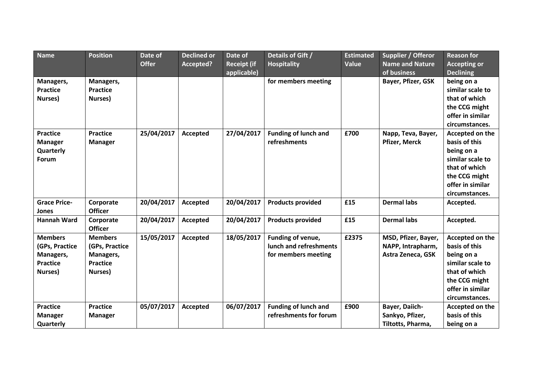| <b>Name</b>                                                                 | <b>Position</b>                                                             | Date of      | <b>Declined or</b> | Date of                           | Details of Gift /                                                  | <b>Estimated</b> | Supplier / Offeror                                            | <b>Reason for</b>                                                                                                                          |
|-----------------------------------------------------------------------------|-----------------------------------------------------------------------------|--------------|--------------------|-----------------------------------|--------------------------------------------------------------------|------------------|---------------------------------------------------------------|--------------------------------------------------------------------------------------------------------------------------------------------|
|                                                                             |                                                                             | <b>Offer</b> | Accepted?          | <b>Receipt (if</b><br>applicable) | <b>Hospitality</b>                                                 | Value            | <b>Name and Nature</b><br>of business                         | <b>Accepting or</b><br><b>Declining</b>                                                                                                    |
| Managers,<br><b>Practice</b><br>Nurses)                                     | Managers,<br><b>Practice</b><br>Nurses)                                     |              |                    |                                   | for members meeting                                                |                  | Bayer, Pfizer, GSK                                            | being on a<br>similar scale to<br>that of which<br>the CCG might<br>offer in similar<br>circumstances.                                     |
| <b>Practice</b><br><b>Manager</b><br>Quarterly<br>Forum                     | <b>Practice</b><br><b>Manager</b>                                           | 25/04/2017   | <b>Accepted</b>    | 27/04/2017                        | <b>Funding of lunch and</b><br>refreshments                        | £700             | Napp, Teva, Bayer,<br><b>Pfizer, Merck</b>                    | Accepted on the<br>basis of this<br>being on a<br>similar scale to<br>that of which<br>the CCG might<br>offer in similar<br>circumstances. |
| <b>Grace Price-</b><br>Jones                                                | Corporate<br><b>Officer</b>                                                 | 20/04/2017   | Accepted           | 20/04/2017                        | <b>Products provided</b>                                           | £15              | <b>Dermal labs</b>                                            | Accepted.                                                                                                                                  |
| <b>Hannah Ward</b>                                                          | Corporate<br><b>Officer</b>                                                 | 20/04/2017   | Accepted           | 20/04/2017                        | <b>Products provided</b>                                           | £15              | <b>Dermal labs</b>                                            | Accepted.                                                                                                                                  |
| <b>Members</b><br>(GPs, Practice<br>Managers,<br><b>Practice</b><br>Nurses) | <b>Members</b><br>(GPs, Practice<br>Managers,<br><b>Practice</b><br>Nurses) | 15/05/2017   | Accepted           | 18/05/2017                        | Funding of venue,<br>lunch and refreshments<br>for members meeting | £2375            | MSD, Pfizer, Bayer,<br>NAPP, Intrapharm,<br>Astra Zeneca, GSK | Accepted on the<br>basis of this<br>being on a<br>similar scale to<br>that of which<br>the CCG might<br>offer in similar<br>circumstances. |
| <b>Practice</b><br><b>Manager</b><br>Quarterly                              | <b>Practice</b><br><b>Manager</b>                                           | 05/07/2017   | Accepted           | 06/07/2017                        | <b>Funding of lunch and</b><br>refreshments for forum              | £900             | Bayer, Daiich-<br>Sankyo, Pfizer,<br>Tiltotts, Pharma,        | Accepted on the<br>basis of this<br>being on a                                                                                             |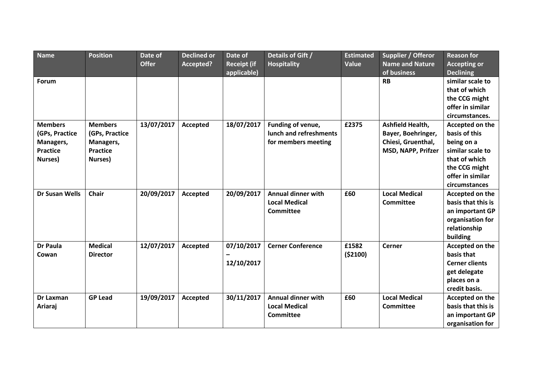| <b>Name</b>           | <b>Position</b> | Date of<br><b>Offer</b> | <b>Declined or</b><br>Accepted? | Date of<br><b>Receipt (if</b> | Details of Gift /<br><b>Hospitality</b> | <b>Estimated</b><br>Value | Supplier / Offeror<br><b>Name and Nature</b> | <b>Reason for</b><br><b>Accepting or</b> |
|-----------------------|-----------------|-------------------------|---------------------------------|-------------------------------|-----------------------------------------|---------------------------|----------------------------------------------|------------------------------------------|
|                       |                 |                         |                                 | applicable)                   |                                         |                           | of business                                  | <b>Declining</b>                         |
| <b>Forum</b>          |                 |                         |                                 |                               |                                         |                           | <b>RB</b>                                    | similar scale to                         |
|                       |                 |                         |                                 |                               |                                         |                           |                                              | that of which                            |
|                       |                 |                         |                                 |                               |                                         |                           |                                              | the CCG might                            |
|                       |                 |                         |                                 |                               |                                         |                           |                                              | offer in similar                         |
|                       |                 |                         |                                 |                               |                                         |                           |                                              | circumstances.                           |
| <b>Members</b>        | <b>Members</b>  | 13/07/2017              | Accepted                        | 18/07/2017                    | Funding of venue,                       | £2375                     | Ashfield Health,                             | Accepted on the                          |
| (GPs, Practice        | (GPs, Practice  |                         |                                 |                               | lunch and refreshments                  |                           | Bayer, Boehringer,                           | basis of this                            |
| Managers,             | Managers,       |                         |                                 |                               | for members meeting                     |                           | Chiesi, Gruenthal,                           | being on a                               |
| <b>Practice</b>       | <b>Practice</b> |                         |                                 |                               |                                         |                           | MSD, NAPP, Prifzer                           | similar scale to                         |
| Nurses)               | Nurses)         |                         |                                 |                               |                                         |                           |                                              | that of which                            |
|                       |                 |                         |                                 |                               |                                         |                           |                                              | the CCG might                            |
|                       |                 |                         |                                 |                               |                                         |                           |                                              | offer in similar                         |
|                       |                 |                         |                                 |                               |                                         |                           |                                              | circumstances                            |
| <b>Dr Susan Wells</b> | <b>Chair</b>    | 20/09/2017              | Accepted                        | 20/09/2017                    | <b>Annual dinner with</b>               | £60                       | <b>Local Medical</b>                         | Accepted on the                          |
|                       |                 |                         |                                 |                               | <b>Local Medical</b>                    |                           | <b>Committee</b>                             | basis that this is                       |
|                       |                 |                         |                                 |                               | <b>Committee</b>                        |                           |                                              | an important GP                          |
|                       |                 |                         |                                 |                               |                                         |                           |                                              | organisation for                         |
|                       |                 |                         |                                 |                               |                                         |                           |                                              | relationship                             |
|                       |                 |                         |                                 |                               |                                         |                           |                                              | building                                 |
| <b>Dr Paula</b>       | <b>Medical</b>  | 12/07/2017              | Accepted                        | 07/10/2017                    | <b>Cerner Conference</b>                | £1582                     | <b>Cerner</b>                                | Accepted on the                          |
| Cowan                 | <b>Director</b> |                         |                                 |                               |                                         | ( \$2100)                 |                                              | basis that                               |
|                       |                 |                         |                                 | 12/10/2017                    |                                         |                           |                                              | <b>Cerner clients</b>                    |
|                       |                 |                         |                                 |                               |                                         |                           |                                              | get delegate                             |
|                       |                 |                         |                                 |                               |                                         |                           |                                              | places on a                              |
|                       |                 |                         |                                 |                               |                                         |                           |                                              | credit basis.                            |
| <b>Dr Laxman</b>      | <b>GP Lead</b>  | 19/09/2017              | Accepted                        | 30/11/2017                    | <b>Annual dinner with</b>               | £60                       | <b>Local Medical</b>                         | Accepted on the                          |
| Ariaraj               |                 |                         |                                 |                               | <b>Local Medical</b>                    |                           | <b>Committee</b>                             | basis that this is                       |
|                       |                 |                         |                                 |                               | <b>Committee</b>                        |                           |                                              | an important GP                          |
|                       |                 |                         |                                 |                               |                                         |                           |                                              | organisation for                         |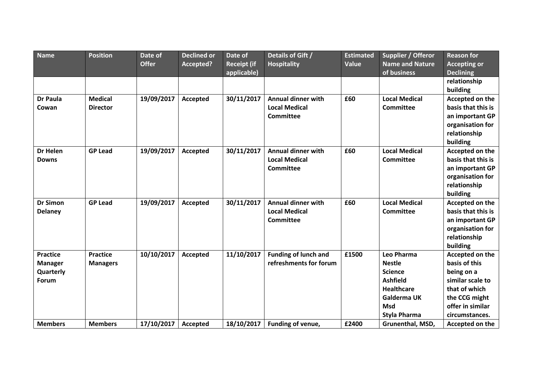| Name                                                    | <b>Position</b>                    | Date of      | <b>Declined or</b> | Date of                           | Details of Gift /                                                     | <b>Estimated</b> | Supplier / Offeror                                                                                                                 | <b>Reason for</b>                                                                                                                          |
|---------------------------------------------------------|------------------------------------|--------------|--------------------|-----------------------------------|-----------------------------------------------------------------------|------------------|------------------------------------------------------------------------------------------------------------------------------------|--------------------------------------------------------------------------------------------------------------------------------------------|
|                                                         |                                    | <b>Offer</b> | Accepted?          | <b>Receipt (if</b><br>applicable) | <b>Hospitality</b>                                                    | Value            | <b>Name and Nature</b><br>of business                                                                                              | <b>Accepting or</b><br><b>Declining</b>                                                                                                    |
|                                                         |                                    |              |                    |                                   |                                                                       |                  |                                                                                                                                    | relationship<br>building                                                                                                                   |
| <b>Dr Paula</b><br>Cowan                                | <b>Medical</b><br><b>Director</b>  | 19/09/2017   | Accepted           | 30/11/2017                        | <b>Annual dinner with</b><br><b>Local Medical</b><br><b>Committee</b> | £60              | <b>Local Medical</b><br><b>Committee</b>                                                                                           | Accepted on the<br>basis that this is<br>an important GP<br>organisation for<br>relationship<br>building                                   |
| <b>Dr Helen</b><br><b>Downs</b>                         | <b>GP Lead</b>                     | 19/09/2017   | Accepted           | 30/11/2017                        | <b>Annual dinner with</b><br><b>Local Medical</b><br><b>Committee</b> | £60              | <b>Local Medical</b><br><b>Committee</b>                                                                                           | Accepted on the<br>basis that this is<br>an important GP<br>organisation for<br>relationship<br>building                                   |
| <b>Dr Simon</b><br><b>Delaney</b>                       | <b>GP Lead</b>                     | 19/09/2017   | Accepted           | 30/11/2017                        | <b>Annual dinner with</b><br><b>Local Medical</b><br>Committee        | £60              | <b>Local Medical</b><br><b>Committee</b>                                                                                           | Accepted on the<br>basis that this is<br>an important GP<br>organisation for<br>relationship<br>building                                   |
| <b>Practice</b><br><b>Manager</b><br>Quarterly<br>Forum | <b>Practice</b><br><b>Managers</b> | 10/10/2017   | <b>Accepted</b>    | 11/10/2017                        | <b>Funding of lunch and</b><br>refreshments for forum                 | £1500            | Leo Pharma<br><b>Nestle</b><br><b>Science</b><br><b>Ashfield</b><br><b>Healthcare</b><br>Galderma UK<br><b>Msd</b><br>Styla Pharma | Accepted on the<br>basis of this<br>being on a<br>similar scale to<br>that of which<br>the CCG might<br>offer in similar<br>circumstances. |
| <b>Members</b>                                          | <b>Members</b>                     | 17/10/2017   | Accepted           | 18/10/2017                        | Funding of venue,                                                     | £2400            | Grunenthal, MSD,                                                                                                                   | Accepted on the                                                                                                                            |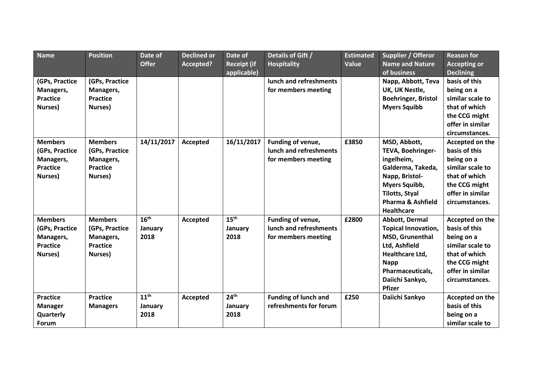| <b>Name</b>     | <b>Position</b> | Date of          | <b>Declined or</b> | Date of            | Details of Gift /           | <b>Estimated</b> | Supplier / Offeror           | Reason for          |
|-----------------|-----------------|------------------|--------------------|--------------------|-----------------------------|------------------|------------------------------|---------------------|
|                 |                 | <b>Offer</b>     | Accepted?          | <b>Receipt (if</b> | <b>Hospitality</b>          | Value            | <b>Name and Nature</b>       | <b>Accepting or</b> |
|                 |                 |                  |                    | applicable)        |                             |                  | of business                  | <b>Declining</b>    |
| (GPs, Practice  | (GPs, Practice  |                  |                    |                    | lunch and refreshments      |                  | Napp, Abbott, Teva           | basis of this       |
| Managers,       | Managers,       |                  |                    |                    | for members meeting         |                  | UK, UK Nestle,               | being on a          |
| <b>Practice</b> | <b>Practice</b> |                  |                    |                    |                             |                  | <b>Boehringer, Bristol</b>   | similar scale to    |
| Nurses)         | Nurses)         |                  |                    |                    |                             |                  | <b>Myers Squibb</b>          | that of which       |
|                 |                 |                  |                    |                    |                             |                  |                              | the CCG might       |
|                 |                 |                  |                    |                    |                             |                  |                              | offer in similar    |
|                 |                 |                  |                    |                    |                             |                  |                              | circumstances.      |
| <b>Members</b>  | <b>Members</b>  | 14/11/2017       | Accepted           | 16/11/2017         | Funding of venue,           | £3850            | MSD, Abbott,                 | Accepted on the     |
| (GPs, Practice  | (GPs, Practice  |                  |                    |                    | lunch and refreshments      |                  | TEVA, Boehringer-            | basis of this       |
| Managers,       | Managers,       |                  |                    |                    | for members meeting         |                  | ingelheim,                   | being on a          |
| <b>Practice</b> | <b>Practice</b> |                  |                    |                    |                             |                  | Galderma, Takeda,            | similar scale to    |
| Nurses)         | Nurses)         |                  |                    |                    |                             |                  | Napp, Bristol-               | that of which       |
|                 |                 |                  |                    |                    |                             |                  | Myers Squibb,                | the CCG might       |
|                 |                 |                  |                    |                    |                             |                  | <b>Tilotts, Styal</b>        | offer in similar    |
|                 |                 |                  |                    |                    |                             |                  | <b>Pharma &amp; Ashfield</b> | circumstances.      |
|                 |                 |                  |                    |                    |                             |                  | <b>Healthcare</b>            |                     |
| <b>Members</b>  | <b>Members</b>  | 16 <sup>th</sup> | Accepted           | 15 <sup>th</sup>   | Funding of venue,           | £2800            | Abbott, Dermal               | Accepted on the     |
| (GPs, Practice  | (GPs, Practice  | January          |                    | January            | lunch and refreshments      |                  | <b>Topical Innovation,</b>   | basis of this       |
| Managers,       | Managers,       | 2018             |                    | 2018               | for members meeting         |                  | MSD, Grunenthal              | being on a          |
| <b>Practice</b> | <b>Practice</b> |                  |                    |                    |                             |                  | Ltd, Ashfield                | similar scale to    |
| Nurses)         | Nurses)         |                  |                    |                    |                             |                  | Healthcare Ltd,              | that of which       |
|                 |                 |                  |                    |                    |                             |                  | <b>Napp</b>                  | the CCG might       |
|                 |                 |                  |                    |                    |                             |                  | Pharmaceuticals,             | offer in similar    |
|                 |                 |                  |                    |                    |                             |                  | Daiichi Sankyo,              | circumstances.      |
|                 |                 |                  |                    |                    |                             |                  | Pfizer                       |                     |
| <b>Practice</b> | <b>Practice</b> | 11 <sup>th</sup> | Accepted           | 24 <sup>th</sup>   | <b>Funding of lunch and</b> | £250             | Daiichi Sankyo               | Accepted on the     |
| <b>Manager</b>  | <b>Managers</b> | January          |                    | January            | refreshments for forum      |                  |                              | basis of this       |
| Quarterly       |                 | 2018             |                    | 2018               |                             |                  |                              | being on a          |
| Forum           |                 |                  |                    |                    |                             |                  |                              | similar scale to    |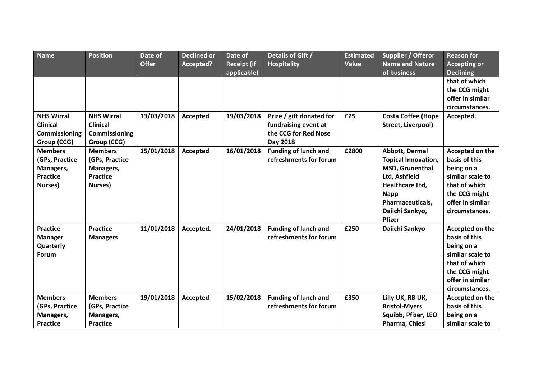| <b>Name</b>                                                                 | <b>Position</b>                                                             | Date of<br><b>Offer</b> | <b>Declined or</b><br>Accepted? | Date of<br><b>Receipt (if</b><br>applicable) | Details of Gift /<br><b>Hospitality</b>                                              | <b>Estimated</b><br><b>Value</b> | Supplier / Offeror<br><b>Name and Nature</b><br>of business                                                                                                         | <b>Reason for</b><br><b>Accepting or</b><br><b>Declining</b>                                                                               |
|-----------------------------------------------------------------------------|-----------------------------------------------------------------------------|-------------------------|---------------------------------|----------------------------------------------|--------------------------------------------------------------------------------------|----------------------------------|---------------------------------------------------------------------------------------------------------------------------------------------------------------------|--------------------------------------------------------------------------------------------------------------------------------------------|
|                                                                             |                                                                             |                         |                                 |                                              |                                                                                      |                                  |                                                                                                                                                                     | that of which<br>the CCG might<br>offer in similar<br>circumstances.                                                                       |
| <b>NHS Wirral</b><br><b>Clinical</b><br><b>Commissioning</b><br>Group (CCG) | <b>NHS Wirral</b><br><b>Clinical</b><br>Commissioning<br>Group (CCG)        | 13/03/2018              | Accepted                        | 19/03/2018                                   | Prize / gift donated for<br>fundraising event at<br>the CCG for Red Nose<br>Day 2018 | £25                              | <b>Costa Coffee (Hope</b><br>Street, Liverpool)                                                                                                                     | Accepted.                                                                                                                                  |
| <b>Members</b><br>(GPs, Practice<br>Managers,<br><b>Practice</b><br>Nurses) | <b>Members</b><br>(GPs, Practice<br>Managers,<br><b>Practice</b><br>Nurses) | 15/01/2018              | Accepted                        | 16/01/2018                                   | <b>Funding of lunch and</b><br>refreshments for forum                                | £2800                            | Abbott, Dermal<br><b>Topical Innovation,</b><br>MSD, Grunenthal<br>Ltd, Ashfield<br>Healthcare Ltd,<br><b>Napp</b><br>Pharmaceuticals,<br>Daiichi Sankyo,<br>Pfizer | Accepted on the<br>basis of this<br>being on a<br>similar scale to<br>that of which<br>the CCG might<br>offer in similar<br>circumstances. |
| <b>Practice</b><br><b>Manager</b><br>Quarterly<br>Forum                     | <b>Practice</b><br><b>Managers</b>                                          | 11/01/2018              | Accepted.                       | 24/01/2018                                   | <b>Funding of lunch and</b><br>refreshments for forum                                | £250                             | Daiichi Sankyo                                                                                                                                                      | Accepted on the<br>basis of this<br>being on a<br>similar scale to<br>that of which<br>the CCG might<br>offer in similar<br>circumstances. |
| <b>Members</b><br>(GPs, Practice<br>Managers,<br><b>Practice</b>            | <b>Members</b><br>(GPs, Practice<br>Managers,<br><b>Practice</b>            | 19/01/2018              | Accepted                        | 15/02/2018                                   | <b>Funding of lunch and</b><br>refreshments for forum                                | £350                             | Lilly UK, RB UK,<br><b>Bristol-Myers</b><br>Squibb, Pfizer, LEO<br>Pharma, Chiesi                                                                                   | Accepted on the<br>basis of this<br>being on a<br>similar scale to                                                                         |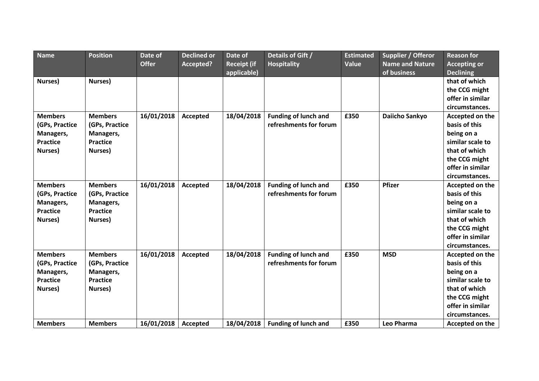| Name            | <b>Position</b> | Date of<br><b>Offer</b> | <b>Declined or</b><br>Accepted? | Date of<br><b>Receipt (if</b> | Details of Gift /<br><b>Hospitality</b> | <b>Estimated</b><br>Value | Supplier / Offeror<br><b>Name and Nature</b> | <b>Reason for</b><br><b>Accepting or</b> |
|-----------------|-----------------|-------------------------|---------------------------------|-------------------------------|-----------------------------------------|---------------------------|----------------------------------------------|------------------------------------------|
|                 |                 |                         |                                 | applicable)                   |                                         |                           | of business                                  | <b>Declining</b>                         |
| Nurses)         | Nurses)         |                         |                                 |                               |                                         |                           |                                              | that of which                            |
|                 |                 |                         |                                 |                               |                                         |                           |                                              | the CCG might                            |
|                 |                 |                         |                                 |                               |                                         |                           |                                              | offer in similar                         |
|                 |                 |                         |                                 |                               |                                         |                           |                                              | circumstances.                           |
| <b>Members</b>  | <b>Members</b>  | 16/01/2018              | Accepted                        | 18/04/2018                    | <b>Funding of lunch and</b>             | £350                      | <b>Daiicho Sankyo</b>                        | Accepted on the                          |
| (GPs, Practice  | (GPs, Practice  |                         |                                 |                               | refreshments for forum                  |                           |                                              | basis of this                            |
| Managers,       | Managers,       |                         |                                 |                               |                                         |                           |                                              | being on a                               |
| <b>Practice</b> | <b>Practice</b> |                         |                                 |                               |                                         |                           |                                              | similar scale to                         |
| Nurses)         | Nurses)         |                         |                                 |                               |                                         |                           |                                              | that of which                            |
|                 |                 |                         |                                 |                               |                                         |                           |                                              | the CCG might                            |
|                 |                 |                         |                                 |                               |                                         |                           |                                              | offer in similar                         |
|                 |                 |                         |                                 |                               |                                         |                           |                                              | circumstances.                           |
| <b>Members</b>  | <b>Members</b>  | 16/01/2018              | <b>Accepted</b>                 | 18/04/2018                    | <b>Funding of lunch and</b>             | £350                      | <b>Pfizer</b>                                | Accepted on the                          |
| (GPs, Practice  | (GPs, Practice  |                         |                                 |                               | refreshments for forum                  |                           |                                              | basis of this                            |
| Managers,       | Managers,       |                         |                                 |                               |                                         |                           |                                              | being on a                               |
| <b>Practice</b> | <b>Practice</b> |                         |                                 |                               |                                         |                           |                                              | similar scale to                         |
| Nurses)         | Nurses)         |                         |                                 |                               |                                         |                           |                                              | that of which                            |
|                 |                 |                         |                                 |                               |                                         |                           |                                              | the CCG might                            |
|                 |                 |                         |                                 |                               |                                         |                           |                                              | offer in similar                         |
|                 |                 |                         |                                 |                               |                                         |                           |                                              | circumstances.                           |
| <b>Members</b>  | <b>Members</b>  | 16/01/2018              | Accepted                        | 18/04/2018                    | <b>Funding of lunch and</b>             | £350                      | <b>MSD</b>                                   | Accepted on the                          |
| (GPs, Practice  | (GPs, Practice  |                         |                                 |                               | refreshments for forum                  |                           |                                              | basis of this                            |
| Managers,       | Managers,       |                         |                                 |                               |                                         |                           |                                              | being on a                               |
| <b>Practice</b> | <b>Practice</b> |                         |                                 |                               |                                         |                           |                                              | similar scale to                         |
| Nurses)         | Nurses)         |                         |                                 |                               |                                         |                           |                                              | that of which                            |
|                 |                 |                         |                                 |                               |                                         |                           |                                              | the CCG might                            |
|                 |                 |                         |                                 |                               |                                         |                           |                                              | offer in similar                         |
|                 |                 |                         |                                 |                               |                                         |                           |                                              | circumstances.                           |
| <b>Members</b>  | <b>Members</b>  | 16/01/2018              | Accepted                        | 18/04/2018                    | <b>Funding of lunch and</b>             | £350                      | Leo Pharma                                   | Accepted on the                          |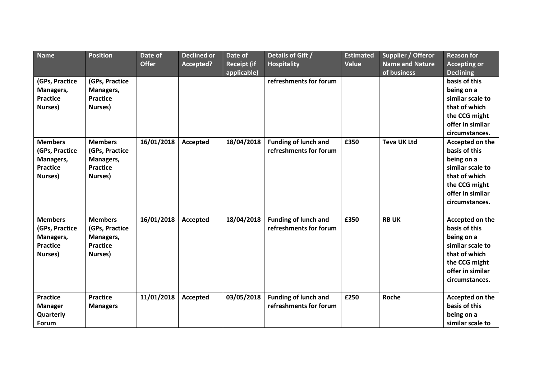| <b>Name</b>                                                                 | <b>Position</b>                                                             | Date of      | <b>Declined or</b> | Date of                           | Details of Gift /                                     | <b>Estimated</b> | Supplier / Offeror                    | <b>Reason for</b>                                                                                                                          |
|-----------------------------------------------------------------------------|-----------------------------------------------------------------------------|--------------|--------------------|-----------------------------------|-------------------------------------------------------|------------------|---------------------------------------|--------------------------------------------------------------------------------------------------------------------------------------------|
|                                                                             |                                                                             | <b>Offer</b> | Accepted?          | <b>Receipt (if</b><br>applicable) | <b>Hospitality</b>                                    | Value            | <b>Name and Nature</b><br>of business | <b>Accepting or</b><br><b>Declining</b>                                                                                                    |
| (GPs, Practice<br>Managers,<br><b>Practice</b><br>Nurses)                   | (GPs, Practice<br>Managers,<br><b>Practice</b><br>Nurses)                   |              |                    |                                   | refreshments for forum                                |                  |                                       | basis of this<br>being on a<br>similar scale to<br>that of which<br>the CCG might<br>offer in similar<br>circumstances.                    |
| <b>Members</b><br>(GPs, Practice<br>Managers,<br><b>Practice</b><br>Nurses) | <b>Members</b><br>(GPs, Practice<br>Managers,<br><b>Practice</b><br>Nurses) | 16/01/2018   | Accepted           | 18/04/2018                        | <b>Funding of lunch and</b><br>refreshments for forum | £350             | <b>Teva UK Ltd</b>                    | Accepted on the<br>basis of this<br>being on a<br>similar scale to<br>that of which<br>the CCG might<br>offer in similar<br>circumstances. |
| <b>Members</b><br>(GPs, Practice<br>Managers,<br><b>Practice</b><br>Nurses) | <b>Members</b><br>(GPs, Practice<br>Managers,<br><b>Practice</b><br>Nurses) | 16/01/2018   | Accepted           | 18/04/2018                        | <b>Funding of lunch and</b><br>refreshments for forum | £350             | <b>RBUK</b>                           | Accepted on the<br>basis of this<br>being on a<br>similar scale to<br>that of which<br>the CCG might<br>offer in similar<br>circumstances. |
| <b>Practice</b><br><b>Manager</b><br>Quarterly<br>Forum                     | <b>Practice</b><br><b>Managers</b>                                          | 11/01/2018   | Accepted           | 03/05/2018                        | <b>Funding of lunch and</b><br>refreshments for forum | £250             | Roche                                 | Accepted on the<br>basis of this<br>being on a<br>similar scale to                                                                         |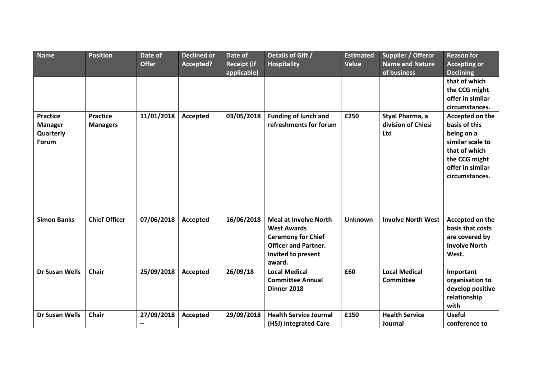| <b>Name</b>                                             | <b>Position</b>                    | Date of<br><b>Offer</b> | <b>Declined or</b><br>Accepted? | Date of<br><b>Receipt (if</b><br>applicable) | Details of Gift /<br><b>Hospitality</b>                                                                                                        | <b>Estimated</b><br>Value | Supplier / Offeror<br><b>Name and Nature</b><br>of business | <b>Reason for</b><br><b>Accepting or</b><br><b>Declining</b>                                                                               |
|---------------------------------------------------------|------------------------------------|-------------------------|---------------------------------|----------------------------------------------|------------------------------------------------------------------------------------------------------------------------------------------------|---------------------------|-------------------------------------------------------------|--------------------------------------------------------------------------------------------------------------------------------------------|
|                                                         |                                    |                         |                                 |                                              |                                                                                                                                                |                           |                                                             | that of which<br>the CCG might<br>offer in similar<br>circumstances.                                                                       |
| <b>Practice</b><br><b>Manager</b><br>Quarterly<br>Forum | <b>Practice</b><br><b>Managers</b> | 11/01/2018              | Accepted                        | 03/05/2018                                   | <b>Funding of lunch and</b><br>refreshments for forum                                                                                          | £250                      | Styal Pharma, a<br>division of Chiesi<br>Ltd                | Accepted on the<br>basis of this<br>being on a<br>similar scale to<br>that of which<br>the CCG might<br>offer in similar<br>circumstances. |
| <b>Simon Banks</b>                                      | <b>Chief Officer</b>               | 07/06/2018              | Accepted                        | 16/06/2018                                   | <b>Meal at Involve North</b><br><b>West Awards</b><br><b>Ceremony for Chief</b><br><b>Officer and Partner.</b><br>Invited to present<br>award. | <b>Unknown</b>            | <b>Involve North West</b>                                   | Accepted on the<br>basis that costs<br>are covered by<br><b>Involve North</b><br>West.                                                     |
| <b>Dr Susan Wells</b>                                   | <b>Chair</b>                       | 25/09/2018              | Accepted                        | 26/09/18                                     | <b>Local Medical</b><br><b>Committee Annual</b><br>Dinner 2018                                                                                 | £60                       | <b>Local Medical</b><br><b>Committee</b>                    | Important<br>organisation to<br>develop positive<br>relationship<br>with                                                                   |
| <b>Dr Susan Wells</b>                                   | <b>Chair</b>                       | 27/09/2018<br>—         | Accepted                        | 29/09/2018                                   | <b>Health Service Journal</b><br>(HSJ) Integrated Care                                                                                         | £150                      | <b>Health Service</b><br>Journal                            | <b>Useful</b><br>conference to                                                                                                             |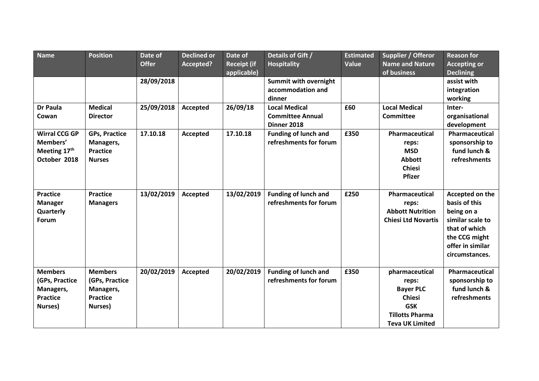| Name                 | <b>Position</b>      | Date of      | <b>Declined or</b> | Date of            | Details of Gift /                                     | <b>Estimated</b> | Supplier / Offeror         | <b>Reason for</b>   |
|----------------------|----------------------|--------------|--------------------|--------------------|-------------------------------------------------------|------------------|----------------------------|---------------------|
|                      |                      | <b>Offer</b> | Accepted?          | <b>Receipt (if</b> | <b>Hospitality</b>                                    | Value            | <b>Name and Nature</b>     | <b>Accepting or</b> |
|                      |                      |              |                    | applicable)        |                                                       |                  | of business                | <b>Declining</b>    |
|                      |                      | 28/09/2018   |                    |                    | <b>Summit with overnight</b>                          |                  |                            | assist with         |
|                      |                      |              |                    |                    | accommodation and                                     |                  |                            | integration         |
|                      |                      |              |                    |                    | dinner                                                |                  |                            | working             |
| <b>Dr Paula</b>      | <b>Medical</b>       | 25/09/2018   | Accepted           | 26/09/18           | <b>Local Medical</b>                                  | £60              | <b>Local Medical</b>       | Inter-              |
| Cowan                | <b>Director</b>      |              |                    |                    | <b>Committee Annual</b>                               |                  | <b>Committee</b>           | organisational      |
|                      |                      |              |                    |                    | Dinner 2018                                           |                  |                            | development         |
| <b>Wirral CCG GP</b> | <b>GPs, Practice</b> | 17.10.18     | Accepted           | 17.10.18           | <b>Funding of lunch and</b>                           | £350             | Pharmaceutical             | Pharmaceutical      |
| Members'             | Managers,            |              |                    |                    | refreshments for forum                                |                  | reps:                      | sponsorship to      |
| Meeting 17th         | <b>Practice</b>      |              |                    |                    |                                                       |                  | <b>MSD</b>                 | fund lunch &        |
| October 2018         | <b>Nurses</b>        |              |                    |                    |                                                       |                  | <b>Abbott</b>              | refreshments        |
|                      |                      |              |                    |                    |                                                       |                  | <b>Chiesi</b>              |                     |
|                      |                      |              |                    |                    |                                                       |                  | Pfizer                     |                     |
|                      |                      |              |                    |                    |                                                       |                  |                            |                     |
| <b>Practice</b>      | <b>Practice</b>      | 13/02/2019   | Accepted           | 13/02/2019         | <b>Funding of lunch and</b>                           | £250             | Pharmaceutical             | Accepted on the     |
| <b>Manager</b>       | <b>Managers</b>      |              |                    |                    | refreshments for forum                                |                  | reps:                      | basis of this       |
| Quarterly            |                      |              |                    |                    |                                                       |                  | <b>Abbott Nutrition</b>    | being on a          |
| Forum                |                      |              |                    |                    |                                                       |                  | <b>Chiesi Ltd Novartis</b> | similar scale to    |
|                      |                      |              |                    |                    |                                                       |                  |                            | that of which       |
|                      |                      |              |                    |                    |                                                       |                  |                            | the CCG might       |
|                      |                      |              |                    |                    |                                                       |                  |                            | offer in similar    |
|                      |                      |              |                    |                    |                                                       |                  |                            | circumstances.      |
|                      |                      |              |                    |                    |                                                       |                  |                            |                     |
| <b>Members</b>       | <b>Members</b>       | 20/02/2019   | Accepted           | 20/02/2019         | <b>Funding of lunch and</b><br>refreshments for forum | £350             | pharmaceutical             | Pharmaceutical      |
| (GPs, Practice       | (GPs, Practice       |              |                    |                    |                                                       |                  | reps:                      | sponsorship to      |
| Managers,            | Managers,            |              |                    |                    |                                                       |                  | <b>Bayer PLC</b>           | fund lunch &        |
| <b>Practice</b>      | <b>Practice</b>      |              |                    |                    |                                                       |                  | <b>Chiesi</b>              | refreshments        |
| Nurses)              | Nurses)              |              |                    |                    |                                                       |                  | <b>GSK</b>                 |                     |
|                      |                      |              |                    |                    |                                                       |                  | <b>Tillotts Pharma</b>     |                     |
|                      |                      |              |                    |                    |                                                       |                  | <b>Teva UK Limited</b>     |                     |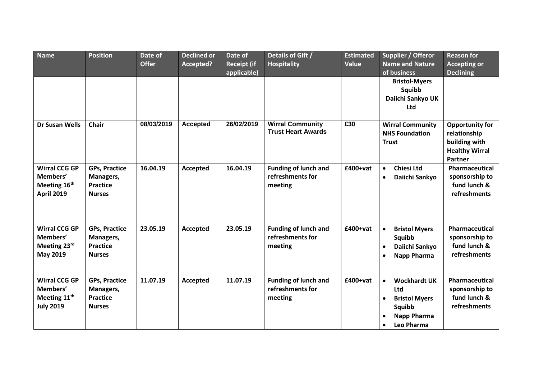| <b>Name</b>                                                                      | <b>Position</b>                                                       | Date of<br><b>Offer</b> | <b>Declined or</b><br>Accepted? | Date of<br><b>Receipt (if</b><br>applicable) | Details of Gift /<br><b>Hospitality</b>                    | <b>Estimated</b><br>Value | Supplier / Offeror<br><b>Name and Nature</b><br>of business                                                                             | <b>Reason for</b><br><b>Accepting or</b><br><b>Declining</b>                         |
|----------------------------------------------------------------------------------|-----------------------------------------------------------------------|-------------------------|---------------------------------|----------------------------------------------|------------------------------------------------------------|---------------------------|-----------------------------------------------------------------------------------------------------------------------------------------|--------------------------------------------------------------------------------------|
|                                                                                  |                                                                       |                         |                                 |                                              |                                                            |                           | <b>Bristol-Myers</b><br>Squibb<br>Daiichi Sankyo UK<br>Ltd                                                                              |                                                                                      |
| <b>Dr Susan Wells</b>                                                            | <b>Chair</b>                                                          | 08/03/2019              | <b>Accepted</b>                 | 26/02/2019                                   | <b>Wirral Community</b><br><b>Trust Heart Awards</b>       | E30                       | <b>Wirral Community</b><br><b>NHS Foundation</b><br><b>Trust</b>                                                                        | Opportunity for<br>relationship<br>building with<br><b>Healthy Wirral</b><br>Partner |
| <b>Wirral CCG GP</b><br>Members'<br>Meeting 16th<br><b>April 2019</b>            | <b>GPs, Practice</b><br>Managers,<br><b>Practice</b><br><b>Nurses</b> | 16.04.19                | <b>Accepted</b>                 | 16.04.19                                     | <b>Funding of lunch and</b><br>refreshments for<br>meeting | £400+vat                  | <b>Chiesi Ltd</b><br>$\bullet$<br>Daiichi Sankyo<br>$\bullet$                                                                           | Pharmaceutical<br>sponsorship to<br>fund lunch &<br>refreshments                     |
| <b>Wirral CCG GP</b><br>Members'<br>Meeting 23rd<br>May 2019                     | <b>GPs, Practice</b><br>Managers,<br><b>Practice</b><br><b>Nurses</b> | 23.05.19                | <b>Accepted</b>                 | 23.05.19                                     | <b>Funding of lunch and</b><br>refreshments for<br>meeting | £400+vat                  | <b>Bristol Myers</b><br>$\bullet$<br>Squibb<br>Daiichi Sankyo<br>$\bullet$<br>Napp Pharma<br>$\bullet$                                  | Pharmaceutical<br>sponsorship to<br>fund lunch &<br><b>refreshments</b>              |
| <b>Wirral CCG GP</b><br>Members'<br>Meeting 11 <sup>th</sup><br><b>July 2019</b> | <b>GPs, Practice</b><br>Managers,<br><b>Practice</b><br><b>Nurses</b> | 11.07.19                | Accepted                        | 11.07.19                                     | <b>Funding of lunch and</b><br>refreshments for<br>meeting | £400+vat                  | <b>Wockhardt UK</b><br>$\bullet$<br>Ltd<br><b>Bristol Myers</b><br>$\bullet$<br>Squibb<br><b>Napp Pharma</b><br>Leo Pharma<br>$\bullet$ | Pharmaceutical<br>sponsorship to<br>fund lunch &<br>refreshments                     |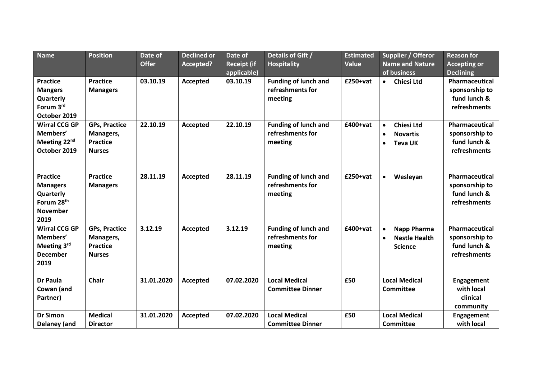| <b>Name</b>                                                                                          | <b>Position</b>                                                       | Date of<br><b>Offer</b> | <b>Declined or</b><br>Accepted? | Date of<br><b>Receipt (if</b><br>applicable) | Details of Gift /<br><b>Hospitality</b>                    | <b>Estimated</b><br>Value | Supplier / Offeror<br><b>Name and Nature</b><br>of business                                   | <b>Reason for</b><br><b>Accepting or</b><br><b>Declining</b>     |
|------------------------------------------------------------------------------------------------------|-----------------------------------------------------------------------|-------------------------|---------------------------------|----------------------------------------------|------------------------------------------------------------|---------------------------|-----------------------------------------------------------------------------------------------|------------------------------------------------------------------|
| <b>Practice</b><br><b>Mangers</b><br>Quarterly<br>Forum 3rd<br>October 2019                          | <b>Practice</b><br><b>Managers</b>                                    | 03.10.19                | <b>Accepted</b>                 | 03.10.19                                     | <b>Funding of lunch and</b><br>refreshments for<br>meeting | £250+vat                  | <b>Chiesi Ltd</b><br>$\bullet$                                                                | Pharmaceutical<br>sponsorship to<br>fund lunch &<br>refreshments |
| <b>Wirral CCG GP</b><br>Members'<br>Meeting 22 <sup>nd</sup><br>October 2019                         | <b>GPs, Practice</b><br>Managers,<br><b>Practice</b><br><b>Nurses</b> | 22.10.19                | <b>Accepted</b>                 | 22.10.19                                     | <b>Funding of lunch and</b><br>refreshments for<br>meeting | £400+vat                  | <b>Chiesi Ltd</b><br>$\bullet$<br><b>Novartis</b><br>$\bullet$<br><b>Teva UK</b><br>$\bullet$ | Pharmaceutical<br>sponsorship to<br>fund lunch &<br>refreshments |
| <b>Practice</b><br><b>Managers</b><br>Quarterly<br>Forum 28 <sup>th</sup><br><b>November</b><br>2019 | <b>Practice</b><br><b>Managers</b>                                    | 28.11.19                | <b>Accepted</b>                 | 28.11.19                                     | <b>Funding of lunch and</b><br>refreshments for<br>meeting | £250+vat                  | Wesleyan<br>$\bullet$                                                                         | Pharmaceutical<br>sponsorship to<br>fund lunch &<br>refreshments |
| <b>Wirral CCG GP</b><br>Members'<br>Meeting 3rd<br><b>December</b><br>2019                           | <b>GPs, Practice</b><br>Managers,<br><b>Practice</b><br><b>Nurses</b> | 3.12.19                 | <b>Accepted</b>                 | 3.12.19                                      | <b>Funding of lunch and</b><br>refreshments for<br>meeting | £400+vat                  | Napp Pharma<br>$\bullet$<br><b>Nestle Health</b><br>$\bullet$<br><b>Science</b>               | Pharmaceutical<br>sponsorship to<br>fund lunch &<br>refreshments |
| <b>Dr Paula</b><br>Cowan (and<br>Partner)                                                            | <b>Chair</b>                                                          | 31.01.2020              | <b>Accepted</b>                 | 07.02.2020                                   | <b>Local Medical</b><br><b>Committee Dinner</b>            | £50                       | <b>Local Medical</b><br><b>Committee</b>                                                      | <b>Engagement</b><br>with local<br>clinical<br>community         |
| <b>Dr Simon</b><br>Delaney (and                                                                      | <b>Medical</b><br><b>Director</b>                                     | 31.01.2020              | Accepted                        | 07.02.2020                                   | <b>Local Medical</b><br><b>Committee Dinner</b>            | £50                       | <b>Local Medical</b><br><b>Committee</b>                                                      | <b>Engagement</b><br>with local                                  |